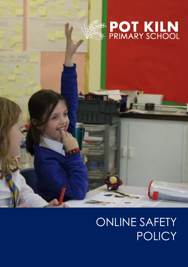

# **EXAMPLE TO THE KILN**

# ONLINE SAFETY POLICY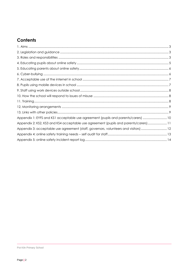# **Contents**

| Appendix 1: EYFS and KS1 acceptable use agreement (pupils and parents/carers)  10    |  |
|--------------------------------------------------------------------------------------|--|
| Appendix 2: KS2, KS3 and KS4 acceptable use agreement (pupils and parents/carers) 11 |  |
| Appendix 3: acceptable use agreement (staff, governors, volunteers and visitors) 12  |  |
|                                                                                      |  |
|                                                                                      |  |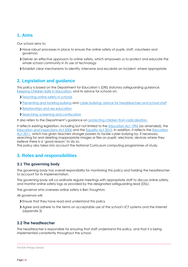# <span id="page-2-0"></span>**1. Aims**

Our school aims to:

- Have robust processes in place to ensure the online safety of pupils, staff, volunteers and governors
- Deliver an effective approach to online safety, which empowers us to protect and educate the whole school community in its use of technology
- Establish clear mechanisms to identify, intervene and escalate an incident, where appropriate

# <span id="page-2-1"></span>**2. Legislation and guidance**

This policy is based on the Department for Education's (DfE) statutory safeguarding guidance, [Keeping Children Safe in Education,](https://www.gov.uk/government/publications/keeping-children-safe-in-education--2) and its advice for schools on:

- **[Teaching online safety in schools](https://www.gov.uk/government/publications/teaching-online-safety-in-schools)**
- [Preventing and tackling bullying](https://www.gov.uk/government/publications/preventing-and-tackling-bullying) and [cyber-bullying: advice for headteachers and school staff](https://www.gov.uk/government/publications/preventing-and-tackling-bullying)
- Relationships [and sex education](https://www.gov.uk/government/publications/relationships-education-relationships-and-sex-education-rse-and-health-education)
- [Searching, screening and confiscation](https://www.gov.uk/government/publications/searching-screening-and-confiscation)

It also refers to the Department's guidance on [protecting children from radicalisation.](https://www.gov.uk/government/publications/protecting-children-from-radicalisation-the-prevent-duty)

It reflects existing legislation, including but not limited to the [Education Act 1996](https://www.legislation.gov.uk/ukpga/1996/56/contents) (as amended), the [Education and Inspections Act 2006](https://www.legislation.gov.uk/ukpga/2006/40/contents) and the [Equality Act 2010.](https://www.legislation.gov.uk/ukpga/2010/15/contents) In addition, it reflects the [Education](http://www.legislation.gov.uk/ukpga/2011/21/contents/enacted)  [Act 2011,](http://www.legislation.gov.uk/ukpga/2011/21/contents/enacted) which has given teachers stronger powers to tackle cyber-bullying by, if necessary, searching for and deleting inappropriate images or files on pupils' electronic devices where they believe there is a 'good reason' to do so.

The policy also takes into account the National Curriculum computing programmes of study.

# <span id="page-2-2"></span>**3. Roles and responsibilities**

### **3.1 The governing body**

The governing body has overall responsibility for monitoring this policy and holding the headteacher to account for its implementation.

The governing body will co-ordinate regular meetings with appropriate staff to discuss online safety, and monitor online safety logs as provided by the designated safeguarding lead (DSL).

The governor who oversees online safety is Ben Troughton.

All governors will:

- Ensure that they have read and understand this policy
- Agree and adhere to the terms on acceptable use of the school's ICT systems and the internet (appendix 3)

# **3.2 The headteacher**

The headteacher is responsible for ensuring that staff understand this policy, and that it is being implemented consistently throughout the school.

Pot Kiln Primary School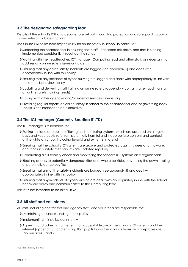# **3.3 The designated safeguarding lead**

Details of the school's DSL and deputies are set out in our child protection and safeguarding policy as well relevant job descriptions.

The Online DSL takes lead responsibility for online safety in school, in particular:

- Supporting the headteacher in ensuring that staff understand this policy and that it is being implemented consistently throughout the school
- Working with the headteacher, ICT manager, Computing lead and other staff, as necessary, to address any online safety issues or incidents
- Ensuring that any online safety incidents are logged (see appendix 5) and dealt with appropriately in line with this policy
- Ensuring that any incidents of cyber-bullying are logged and dealt with appropriately in line with the school behaviour policy
- Updating and delivering staff training on online safety (appendix 4 contains a self-audit for staff on online safety training needs)
- Liaising with other agencies and/or external services if necessary
- Providing regular reports on online safety in school to the headteacher and/or governing body This list is not intended to be exhaustive.

## **3.4 The ICT manager (Currently Boudica IT LTD)**

The ICT manager is responsible for:

- Putting in place appropriate filtering and monitoring systems, which are updated on a regular basis and keep pupils safe from potentially harmful and inappropriate content and contact online while at school, including terrorist and extremist material
- Ensuring that the school's ICT systems are secure and protected against viruses and malware, and that such safety mechanisms are updated regularly
- Conducting a full security check and monitoring the school's ICT systems on a regular basis
- Blocking access to potentially dangerous sites and, where possible, preventing the downloading of potentially dangerous files
- Ensuring that any online safety incidents are logged (see appendix 5) and dealt with appropriately in line with this policy
- Ensuring that any incidents of cyber-bullying are dealt with appropriately in line with the school behaviour policy and communicated to the Computing lead.

This list is not intended to be exhaustive.

#### **3.5 All staff and volunteers**

All staff, including contractors and agency staff, and volunteers are responsible for:

- Maintaining an understanding of this policy
- Implementing this policy consistently
- Agreeing and adhering to the terms on acceptable use of the school's ICT systems and the internet (appendix 3), and ensuring that pupils follow the school's terms on acceptable use (appendices 1 and 2)

Pot Kiln Primary School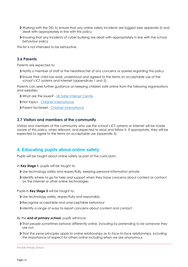- Working with the DSL to ensure that any online safety incidents are logged (see appendix 5) and dealt with appropriately in line with this policy
- Ensuring that any incidents of cyber-bullying are dealt with appropriately in line with the school behaviour policy

This list is not intended to be exhaustive.

#### **3.6 Parents**

Parents are expected to:

- Notify a member of staff or the headteacher of any concerns or queries regarding this policy
- Ensure their child has read, understood and agreed to the terms on acceptable use of the school's ICT systems and internet (appendices 1 and 2)

Parents can seek further guidance on keeping children safe online from the following organisations and websites:

- What are the issues? [UK Safer Internet Centre](https://www.saferinternet.org.uk/advice-centre/parents-and-carers/what-are-issues)
- Hot topics [Childnet International](http://www.childnet.com/parents-and-carers/hot-topics)
- Parent factsheet [Childnet International](https://www.childnet.com/resources/parents-and-carers-resource-sheet)

#### **3.7 Visitors and members of the community**

Visitors and members of the community who use the school's ICT systems or internet will be made aware of this policy, when relevant, and expected to read and follow it. If appropriate, they will be expected to agree to the terms on acceptable use (appendix 3).

# <span id="page-4-0"></span>**4. Educating pupils about online safety**

Pupils will be taught about online safety as part of the curriculum:

In **Key Stage 1**, pupils will be taught to:

- Use technology safely and respectfully, keeping personal information private
- Identify where to go for help and support when they have concerns about content or contact on the internet or other online technologies

Pupils in **Key Stage 2** will be taught to:

- Use technology safely, respectfully and responsibly
- Recognise acceptable and unacceptable behaviour
- Identify a range of ways to report concerns about content and contact

#### *By the end of primary school, pupils will know:*

- *That people sometimes behave differently online, including by pretending to be someone they are not.*
- *That the same principles apply to online relationships as to face-to-face relationships, including the importance of respect for others online including when we are anonymous*

Pot Kiln Primary School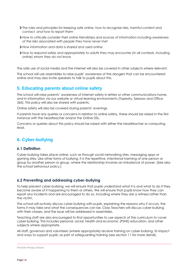- *The rules and principles for keeping safe online, how to recognise risks, harmful content and contact, and how to report them*
- *How to critically consider their online friendships and sources of information including awareness of the risks associated with people they have never met*
- *How information and data is shared and used online*
- *How to respond safely and appropriately to adults they may encounter (in all contexts, including online) whom they do not know*

The safe use of social media and the internet will also be covered in other subjects where relevant.

The school will use assemblies to raise pupils' awareness of the dangers that can be encountered online and may also invite speakers to talk to pupils about this.

# <span id="page-5-0"></span>**5. Educating parents about online safety**

The school will raise parents' awareness of internet safety in letters or other communications home, and in information via our website or virtual learning environments (Tapestry, Seesaw and Office 365). This policy will also be shared with parents.

Online safety will also be covered during parents' evenings.

If parents have any queries or concerns in relation to online safety, these should be raised in the first instance with the headteacher and/or the Online DSL.

Concerns or queries about this policy should be raised with either the headteacher or computing lead.

# <span id="page-5-1"></span>**6. Cyber-bullying**

### **6.1 Definition**

Cyber-bullying takes place online, such as through social networking sites, messaging apps or gaming sites. Like other forms of bullying, it is the repetitive, intentional harming of one person or group by another person or group, where the relationship involves an imbalance of power. (See also the school behaviour policy.)

# **6.2 Preventing and addressing cyber-bullying**

To help prevent cyber-bullying, we will ensure that pupils understand what it is and what to do if they become aware of it happening to them or others. We will ensure that pupils know how they can report any incidents and are encouraged to do so, including where they are a witness rather than the victim.

The school will actively discuss cyber-bullying with pupils, explaining the reasons why it occurs, the forms it may take and what the consequences can be. Class Teachers will discuss cyber-bullying with their classes, and the issue will be addressed in assemblies.

Teaching staff are also encouraged to find opportunities to use aspects of the curriculum to cover cyber-bullying. This includes personal, social, health and economic (PSHE) education, and other subjects where appropriate.

All staff, governors and volunteers (where appropriate) receive training on cyber-bullying, its impact and ways to support pupils, as part of safeguarding training (see section 11 for more detail).

Pot Kiln Primary School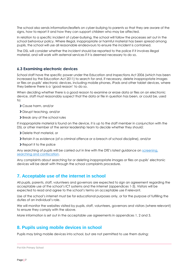The school also sends information/leaflets on cyber-bullying to parents so that they are aware of the signs, how to report it and how they can support children who may be affected.

In relation to a specific incident of cyber-bullying, the school will follow the processes set out in the school behaviour policy. Where illegal, inappropriate or harmful material has been spread among pupils, the school will use all reasonable endeavours to ensure the incident is contained.

The DSL will consider whether the incident should be reported to the police if it involves illegal material, and will work with external services if it is deemed necessary to do so.

#### **6.3 Examining electronic devices**

School staff have the specific power under the Education and Inspections Act 2006 (which has been increased by the Education Act 2011) to search for and, if necessary, delete inappropriate images or files on pupils' electronic devices, including mobile phones, iPads and other tablet devices, where they believe there is a 'good reason' to do so.

When deciding whether there is a good reason to examine or erase data or files on an electronic device, staff must reasonably suspect that the data or file in question has been, or could be, used to:

- Cause harm, and/or
- Disrupt teaching, and/or
- **>** Break any of the school rules

If inappropriate material is found on the device, it is up to the staff member in conjunction with the DSL or other member of the senior leadership team to decide whether they should:

- **>** Delete that material, or
- Retain it as evidence (of a criminal offence or a breach of school discipline), and/or
- **>** Report it to the police

Any searching of pupils will be carried out in line with the DfE's latest guidance on screening, [searching and confiscation.](https://www.gov.uk/government/publications/searching-screening-and-confiscation)

Any complaints about searching for or deleting inappropriate images or files on pupils' electronic devices will be dealt with through the school complaints procedure.

# <span id="page-6-0"></span>**7. Acceptable use of the internet in school**

All pupils, parents, staff, volunteers and governors are expected to sign an agreement regarding the acceptable use of the school's ICT systems and the internet (appendices 1-3). Visitors will be expected to read and agree to the school's terms on acceptable use if relevant.

Use of the school's internet must be for educational purposes only, or for the purpose of fulfilling the duties of an individual's role.

We will monitor the websites visited by pupils, staff, volunteers, governors and visitors (where relevant) to ensure they comply with the above.

More information is set out in the acceptable use agreements in appendices 1, 2 and 3.

# <span id="page-6-1"></span>**8. Pupils using mobile devices in school**

Pupils may bring mobile devices into school, but are not permitted to use them during:

```
Pot Kiln Primary School
```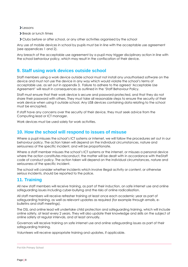> Lessons

- > Break or lunch times
- Clubs before or after school, or any other activities organised by the school

Any use of mobile devices in school by pupils must be in line with the acceptable use agreement (see appendices 1 and 2).

Any breach of the acceptable use agreement by a pupil may trigger disciplinary action in line with the school behaviour policy, which may result in the confiscation of their device.

# <span id="page-7-0"></span>**9. Staff using work devices outside school**

Staff members using a work device outside school must not install any unauthorised software on the device and must not use the device in any way which would violate the school's terms of acceptable use, as set out in appendix 3. Failure to adhere to the agreed 'Acceptable Use Agreement' will result in consequences as outlined in the 'Staff Behaviour Policy.

Staff must ensure that their work device is secure and password-protected, and that they do not share their password with others. They must take all reasonable steps to ensure the security of their work device when using it outside school. Any USB devices containing data relating to the school must be encrypted.

If staff have any concerns over the security of their device, they must seek advice from the Computing lead or ICT manager.

Work devices must be used solely for work activities.

# <span id="page-7-1"></span>**10. How the school will respond to issues of misuse**

Where a pupil misuses the school's ICT systems or internet, we will follow the procedures set out in our behaviour policy. The action taken will depend on the individual circumstances, nature and seriousness of the specific incident, and will be proportionate.

Where a staff member misuses the school's ICT systems or the internet, or misuses a personal device where the action constitutes misconduct, the matter will be dealt with in accordance with theStaff code of conduct policy. The action taken will depend on the individual circumstances, nature and seriousness of the specific incident.

The school will consider whether incidents which involve illegal activity or content, or otherwise serious incidents, should be reported to the police.

# <span id="page-7-2"></span>**11. Training**

All new staff members will receive training, as part of their induction, on safe internet use and online safeguarding issues including cyber-bullying and the risks of online radicalisation.

All staff members will receive refresher training at least once each academic year as part of safeguarding training, as well as relevant updates as required (for example through emails, ebulletins and staff meetings).

The DSL and online lead will undertake child protection and safeguarding training, which will include online safety, at least every 2 years. They will also update their knowledge and skills on the subject of online safety at regular intervals, and at least annually.

Governors will receive training on safe internet use and online safeguarding issues as part of their safeguarding training.

Volunteers will receive appropriate training and updates, if applicable.

Pot Kiln Primary School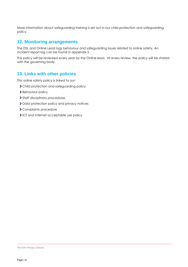More information about safeguarding training is set out in our child protection and safeguarding policy.

# <span id="page-8-0"></span>**12. Monitoring arrangements**

The DSL and Online Lead logs behaviour and safeguarding issues related to online safety. An incident report log can be found in appendix 5.

This policy will be reviewed every year by the Online lead. At every review, the policy will be shared with the governing body.

# <span id="page-8-1"></span>**13. Links with other policies**

This online safety policy is linked to our:

- Child protection and safeguarding policy
- > Behaviour policy
- > Staff disciplinary procedures
- > Data protection policy and privacy notices
- Complaints procedure
- ICT and internet acceptable use policy

Pot Kiln Primary School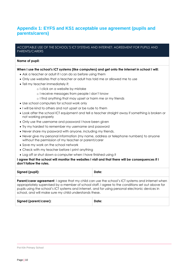# <span id="page-9-0"></span>**Appendix 1: EYFS and KS1 acceptable use agreement (pupils and parents/carers)**

#### ACCEPTABLE USE OF THE SCHOOL'S ICT SYSTEMS AND INTERNET: AGREEMENT FOR PUPILS AND PARENTS/CARERS

#### **Name of pupil:**

#### **When I use the school's ICT systems (like computers) and get onto the internet in school I will:**

- Ask a teacher or adult if I can do so before using them
- Only use websites that a teacher or adult has told me or allowed me to use
- Tell my teacher immediately if:
	- o I click on a website by mistake
	- o I receive messages from people I don't know
	- o I find anything that may upset or harm me or my friends
- Use school computers for school work only
- I will be kind to others and not upset or be rude to them
- Look after the school ICT equipment and tell a teacher straight away if something is broken or not working properly
- Only use the username and password I have been given
- Try my hardest to remember my username and password
- Never share my password with anyone, including my friends.
- Never give my personal information (my name, address or telephone numbers) to anyone without the permission of my teacher or parent/carer
- Save my work on the school network
- Check with my teacher before I print anything
- Log off or shut down a computer when I have finished using it

#### **I agree that the school will monitor the websites I visit and that there will be consequences if I don't follow the rules.**

| Signed (pupil): | Date: |
|-----------------|-------|
|                 |       |

**Parent/carer agreement:** I agree that my child can use the school's ICT systems and internet when appropriately supervised by a member of school staff. I agree to the conditions set out above for pupils using the school's ICT systems and internet, and for using personal electronic devices in school, and will make sure my child understands these.

| Signed (parent/carer): | Date: |
|------------------------|-------|
|------------------------|-------|

Pot Kiln Primary School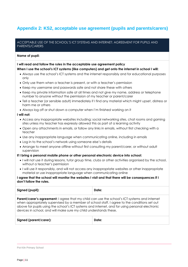# <span id="page-10-0"></span>**Appendix 2: KS2, acceptable use agreement (pupils and parents/carers)**

#### ACCEPTABLE USE OF THE SCHOOL'S ICT SYSTEMS AND INTERNET: AGREEMENT FOR PUPILS AND PARENTS/CARERS

#### **Name of pupil:**

#### **I will read and follow the rules in the acceptable use agreement policy**

#### **When I use the school's ICT systems (like computers) and get onto the internet in school I will:**

- Always use the school's ICT systems and the internet responsibly and for educational purposes only
- Only use them when a teacher is present, or with a teacher's permission
- Keep my username and passwords safe and not share these with others
- Keep my private information safe at all times and not give my name, address or telephone number to anyone without the permission of my teacher or parent/carer
- Tell a teacher (or sensible adult) immediately if I find any material which might upset, distress or harm me or others
- Always log off or shut down a computer when I'm finished working on it

#### **I will not:**

- Access any inappropriate websites including: social networking sites, chat rooms and gaming sites unless my teacher has expressly allowed this as part of a learning activity
- Open any attachments in emails, or follow any links in emails, without first checking with a teacher
- Use any inappropriate language when communicating online, including in emails
- Log in to the school's network using someone else's details
- Arrange to meet anyone offline without first consulting my parent/carer, or without adult supervision

#### **If I bring a personal mobile phone or other personal electronic device into school:**

- I will not use it during lessons, tutor group time, clubs or other activities organised by the school, without a teacher's permission
- I will use it responsibly, and will not access any inappropriate websites or other inappropriate material or use inappropriate language when communicating online

#### **I agree that the school will monitor the websites I visit and that there will be consequences if I don't follow the rules.**

| Signed (pupil):                                                                                                                                                                                                                                                                                                                                                              | Date: |  |  |
|------------------------------------------------------------------------------------------------------------------------------------------------------------------------------------------------------------------------------------------------------------------------------------------------------------------------------------------------------------------------------|-------|--|--|
| <b>Parent/carer's agreement:</b> I agree that my child can use the school's ICT systems and internet<br>when appropriately supervised by a member of school staff. I agree to the conditions set out<br>above for pupils using the school's ICT systems and internet, and for using personal electronic<br>devices in school, and will make sure my child understands these. |       |  |  |
| Signed (parent/carer):                                                                                                                                                                                                                                                                                                                                                       | Date: |  |  |

Pot Kiln Primary School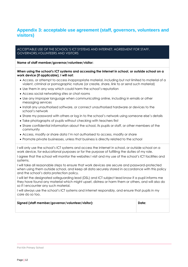# <span id="page-11-0"></span>**Appendix 3: acceptable use agreement (staff, governors, volunteers and visitors)**

ACCEPTABLE USE OF THE SCHOOL'S ICT SYSTEMS AND INTERNET: AGREEMENT FOR STAFF, GOVERNORS,VOLUNTEERS AND VISITORS

**Name of staff member/governor/volunteer/visitor:**

#### **When using the school's ICT systems and accessing the internet in school, or outside school on a work device (if applicable), I will not:**

- Access, or attempt to access inappropriate material, including but not limited to material of a violent, criminal or pornographic nature (or create, share, link to or send such material)
- Use them in any way which could harm the school's reputation
- Access social networking sites or chat rooms
- Use any improper language when communicating online, including in emails or other messaging services
- Install any unauthorised software, or connect unauthorised hardware or devices to the school's network
- Share my password with others or log in to the school's network using someone else's details
- Take photographs of pupils without checking with teachers first
- Share confidential information about the school, its pupils or staff, or other members of the community
- Access, modify or share data I'm not authorised to access, modify or share
- Promote private businesses, unless that business is directly related to the school

I will only use the school's ICT systems and access the internet in school, or outside school on a work device, for educational purposes or for the purpose of fulfilling the duties of my role. I agree that the school will monitor the websites I visit and my use of the school's ICT facilities and systems.

I will take all reasonable steps to ensure that work devices are secure and password-protected when using them outside school, and keep all data securely stored in accordance with this policy and the school's data protection policy.

I will let the designated safeguarding lead (DSL) and ICT subject lead know if a pupil informs me they have found any material which might upset, distress or harm them or others, and will also do so if I encounter any such material.

I will always use the school's ICT systems and internet responsibly, and ensure that pupils in my care do so too.

| Signed (staff member/governor/volunteer/visitor): | Date: |
|---------------------------------------------------|-------|
|                                                   |       |

Pot Kiln Primary School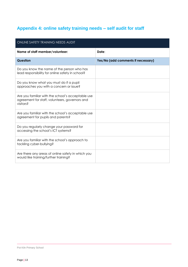# <span id="page-12-0"></span>**Appendix 4: online safety training needs – self audit for staff**

| <b>ONLINE SAFETY TRAINING NEEDS AUDIT</b>                                                                        |                                    |  |  |  |
|------------------------------------------------------------------------------------------------------------------|------------------------------------|--|--|--|
| Name of staff member/volunteer:                                                                                  | Date:                              |  |  |  |
| Question                                                                                                         | Yes/No (add comments if necessary) |  |  |  |
| Do you know the name of the person who has<br>lead responsibility for online safety in school?                   |                                    |  |  |  |
| Do you know what you must do if a pupil<br>approaches you with a concern or issue?                               |                                    |  |  |  |
| Are you familiar with the school's acceptable use<br>agreement for staff, volunteers, governors and<br>visitors? |                                    |  |  |  |
| Are you familiar with the school's acceptable use<br>agreement for pupils and parents?                           |                                    |  |  |  |
| Do you regularly change your password for<br>accessing the school's ICT systems?                                 |                                    |  |  |  |
| Are you familiar with the school's approach to<br>tackling cyber-bullying?                                       |                                    |  |  |  |
| Are there any areas of online safety in which you<br>would like training/further training?                       |                                    |  |  |  |